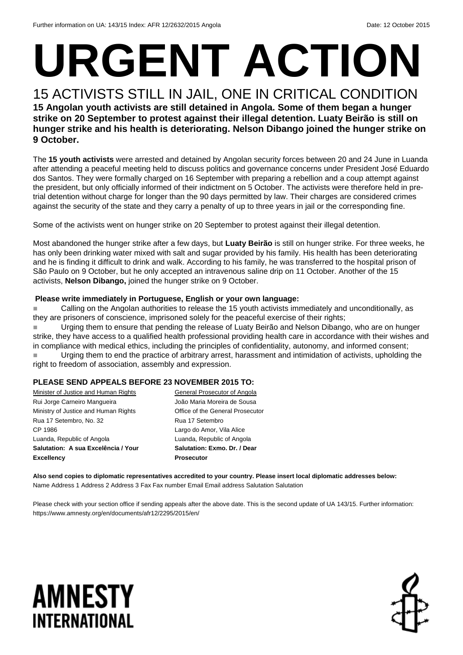# **URGENT ACTION**

#### 15 ACTIVISTS STILL IN JAIL, ONE IN CRITICAL CONDITION **15 Angolan youth activists are still detained in Angola. Some of them began a hunger strike on 20 September to protest against their illegal detention. Luaty Beirão is still on hunger strike and his health is deteriorating. Nelson Dibango joined the hunger strike on 9 October.**

The **15 youth activists** were arrested and detained by Angolan security forces between 20 and 24 June in Luanda after attending a peaceful meeting held to discuss politics and governance concerns under President José Eduardo dos Santos. They were formally charged on 16 September with preparing a rebellion and a coup attempt against the president, but only officially informed of their indictment on 5 October. The activists were therefore held in pretrial detention without charge for longer than the 90 days permitted by law. Their charges are considered crimes against the security of the state and they carry a penalty of up to three years in jail or the corresponding fine.

Some of the activists went on hunger strike on 20 September to protest against their illegal detention.

Most abandoned the hunger strike after a few days, but **Luaty Beirão** is still on hunger strike. For three weeks, he has only been drinking water mixed with salt and sugar provided by his family. His health has been deteriorating and he is finding it difficult to drink and walk. According to his family, he was transferred to the hospital prison of São Paulo on 9 October, but he only accepted an intravenous saline drip on 11 October. Another of the 15 activists, **Nelson Dibango,** joined the hunger strike on 9 October.

#### **Please write immediately in Portuguese, English or your own language:**

 Calling on the Angolan authorities to release the 15 youth activists immediately and unconditionally, as they are prisoners of conscience, imprisoned solely for the peaceful exercise of their rights;

 Urging them to ensure that pending the release of Luaty Beirão and Nelson Dibango, who are on hunger strike, they have access to a qualified health professional providing health care in accordance with their wishes and in compliance with medical ethics, including the principles of confidentiality, autonomy, and informed consent; Urging them to end the practice of arbitrary arrest, harassment and intimidation of activists, upholding the right to freedom of association, assembly and expression.

#### **PLEASE SEND APPEALS BEFORE 23 NOVEMBER 2015 TO:**

| Minister of Justice and Human Rights | General Prosecutor of Angola     |
|--------------------------------------|----------------------------------|
| Rui Jorge Carneiro Mangueira         | João Maria Moreira de Sousa      |
| Ministry of Justice and Human Rights | Office of the General Prosecutor |
| Rua 17 Setembro, No. 32              | Rua 17 Setembro                  |
| CP 1986                              | Largo do Amor, Vila Alice        |
| Luanda, Republic of Angola           | Luanda, Republic of Angola       |
| Salutation: A sua Excelência / Your  | Salutation: Exmo. Dr. / Dear     |
| <b>Excellency</b>                    | <b>Prosecutor</b>                |

**Also send copies to diplomatic representatives accredited to your country. Please insert local diplomatic addresses below:** Name Address 1 Address 2 Address 3 Fax Fax number Email Email address Salutation Salutation

Please check with your section office if sending appeals after the above date. This is the second update of UA 143/15. Further information: https://www.amnesty.org/en/documents/afr12/2295/2015/en/